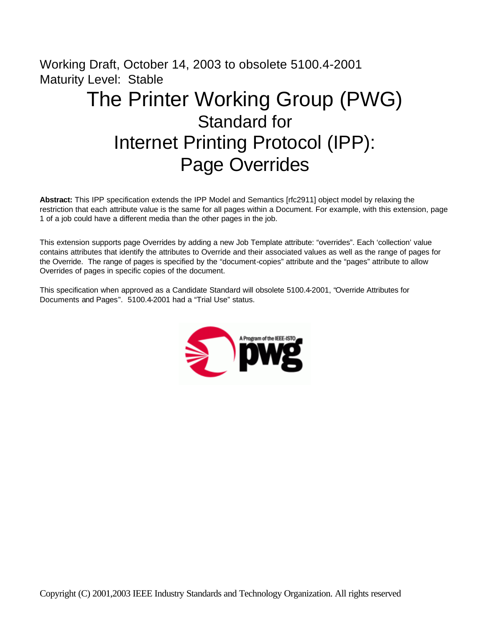# Working Draft, October 14, 2003 to obsolete 5100.4-2001 Maturity Level: Stable The Printer Working Group (PWG) Standard for Internet Printing Protocol (IPP): Page Overrides

**Abstract:** This IPP specification extends the IPP Model and Semantics [rfc2911] object model by relaxing the restriction that each attribute value is the same for all pages within a Document. For example, with this extension, page 1 of a job could have a different media than the other pages in the job.

This extension supports page Overrides by adding a new Job Template attribute: "overrides". Each 'collection' value contains attributes that identify the attributes to Override and their associated values as well as the range of pages for the Override. The range of pages is specified by the "document-copies" attribute and the "pages" attribute to allow Overrides of pages in specific copies of the document.

This specification when approved as a Candidate Standard will obsolete 5100.4-2001, "Override Attributes for Documents and Pages". 5100.4-2001 had a "Trial Use" status.

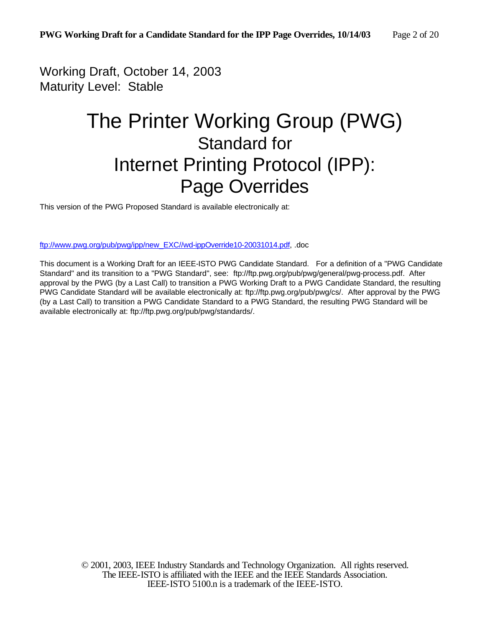Working Draft, October 14, 2003 Maturity Level: Stable

# The Printer Working Group (PWG) Standard for Internet Printing Protocol (IPP): Page Overrides

This version of the PWG Proposed Standard is available electronically at:

ftp://www.pwg.org/pub/pwg/ipp/new\_EXC//wd-ippOverride10-20031014.pdf, .doc

This document is a Working Draft for an IEEE-ISTO PWG Candidate Standard. For a definition of a "PWG Candidate Standard" and its transition to a "PWG Standard", see: ftp://ftp.pwg.org/pub/pwg/general/pwg-process.pdf. After approval by the PWG (by a Last Call) to transition a PWG Working Draft to a PWG Candidate Standard, the resulting PWG Candidate Standard will be available electronically at: ftp://ftp.pwg.org/pub/pwg/cs/. After approval by the PWG (by a Last Call) to transition a PWG Candidate Standard to a PWG Standard, the resulting PWG Standard will be available electronically at: ftp://ftp.pwg.org/pub/pwg/standards/.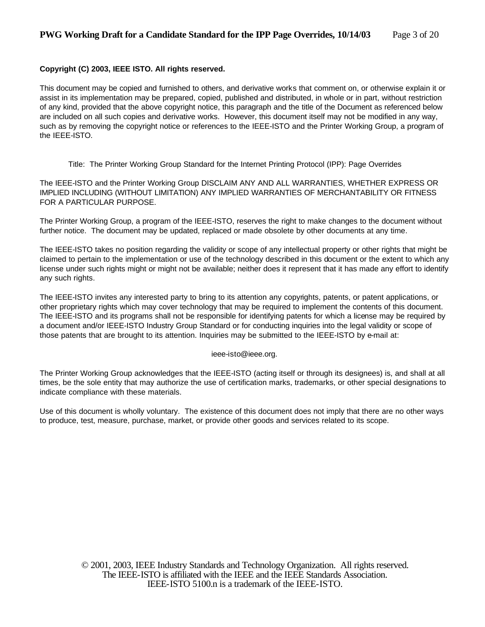#### **Copyright (C) 2003, IEEE ISTO. All rights reserved.**

This document may be copied and furnished to others, and derivative works that comment on, or otherwise explain it or assist in its implementation may be prepared, copied, published and distributed, in whole or in part, without restriction of any kind, provided that the above copyright notice, this paragraph and the title of the Document as referenced below are included on all such copies and derivative works. However, this document itself may not be modified in any way, such as by removing the copyright notice or references to the IEEE-ISTO and the Printer Working Group, a program of the IEEE-ISTO.

Title: The Printer Working Group Standard for the Internet Printing Protocol (IPP): Page Overrides

The IEEE-ISTO and the Printer Working Group DISCLAIM ANY AND ALL WARRANTIES, WHETHER EXPRESS OR IMPLIED INCLUDING (WITHOUT LIMITATION) ANY IMPLIED WARRANTIES OF MERCHANTABILITY OR FITNESS FOR A PARTICULAR PURPOSE.

The Printer Working Group, a program of the IEEE-ISTO, reserves the right to make changes to the document without further notice. The document may be updated, replaced or made obsolete by other documents at any time.

The IEEE-ISTO takes no position regarding the validity or scope of any intellectual property or other rights that might be claimed to pertain to the implementation or use of the technology described in this document or the extent to which any license under such rights might or might not be available; neither does it represent that it has made any effort to identify any such rights.

The IEEE-ISTO invites any interested party to bring to its attention any copyrights, patents, or patent applications, or other proprietary rights which may cover technology that may be required to implement the contents of this document. The IEEE-ISTO and its programs shall not be responsible for identifying patents for which a license may be required by a document and/or IEEE-ISTO Industry Group Standard or for conducting inquiries into the legal validity or scope of those patents that are brought to its attention. Inquiries may be submitted to the IEEE-ISTO by e-mail at:

ieee-isto@ieee.org.

The Printer Working Group acknowledges that the IEEE-ISTO (acting itself or through its designees) is, and shall at all times, be the sole entity that may authorize the use of certification marks, trademarks, or other special designations to indicate compliance with these materials.

Use of this document is wholly voluntary. The existence of this document does not imply that there are no other ways to produce, test, measure, purchase, market, or provide other goods and services related to its scope.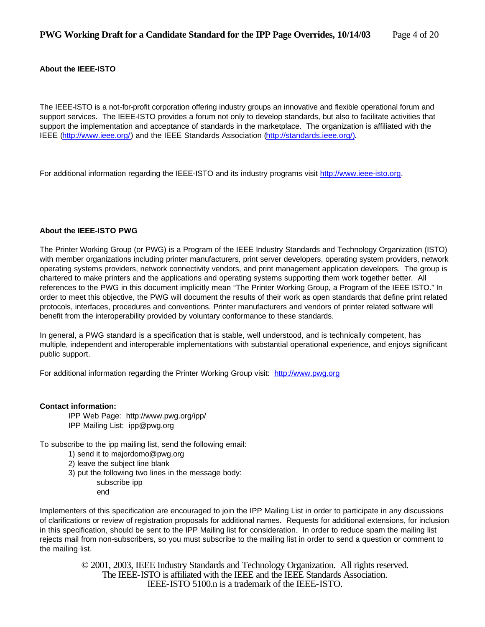#### **About the IEEE-ISTO**

The IEEE-ISTO is a not-for-profit corporation offering industry groups an innovative and flexible operational forum and support services. The IEEE-ISTO provides a forum not only to develop standards, but also to facilitate activities that support the implementation and acceptance of standards in the marketplace. The organization is affiliated with the IEEE (http://www.ieee.org/) and the IEEE Standards Association (http://standards.ieee.org/).

For additional information regarding the IEEE-ISTO and its industry programs visit http://www.ieee-isto.org.

#### **About the IEEE-ISTO PWG**

The Printer Working Group (or PWG) is a Program of the IEEE Industry Standards and Technology Organization (ISTO) with member organizations including printer manufacturers, print server developers, operating system providers, network operating systems providers, network connectivity vendors, and print management application developers. The group is chartered to make printers and the applications and operating systems supporting them work together better. All references to the PWG in this document implicitly mean "The Printer Working Group, a Program of the IEEE ISTO." In order to meet this objective, the PWG will document the results of their work as open standards that define print related protocols, interfaces, procedures and conventions. Printer manufacturers and vendors of printer related software will benefit from the interoperability provided by voluntary conformance to these standards.

In general, a PWG standard is a specification that is stable, well understood, and is technically competent, has multiple, independent and interoperable implementations with substantial operational experience, and enjoys significant public support.

For additional information regarding the Printer Working Group visit: http://www.pwg.org

#### **Contact information:**

IPP Web Page: http://www.pwg.org/ipp/ IPP Mailing List: ipp@pwg.org

To subscribe to the ipp mailing list, send the following email:

- 1) send it to majordomo@pwg.org
- 2) leave the subject line blank
- 3) put the following two lines in the message body:
	- subscribe ipp end

Implementers of this specification are encouraged to join the IPP Mailing List in order to participate in any discussions of clarifications or review of registration proposals for additional names. Requests for additional extensions, for inclusion in this specification, should be sent to the IPP Mailing list for consideration. In order to reduce spam the mailing list rejects mail from non-subscribers, so you must subscribe to the mailing list in order to send a question or comment to the mailing list.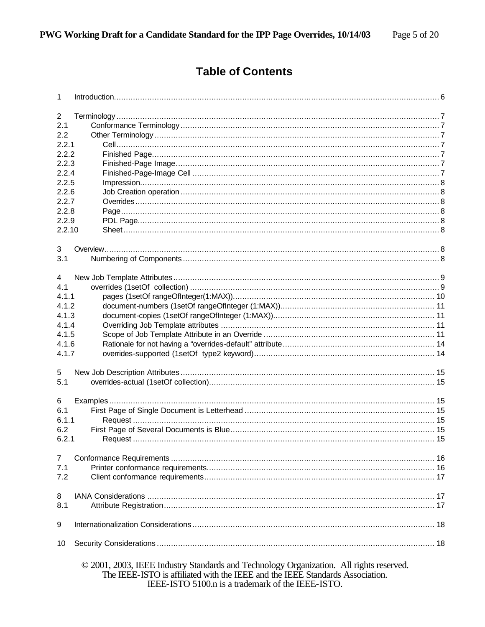# **Table of Contents**

| $\mathbf{1}$   |                                                                                                                                                                                                                               |  |
|----------------|-------------------------------------------------------------------------------------------------------------------------------------------------------------------------------------------------------------------------------|--|
| $\overline{c}$ |                                                                                                                                                                                                                               |  |
| 2.1            |                                                                                                                                                                                                                               |  |
| 2.2            |                                                                                                                                                                                                                               |  |
| 2.2.1          |                                                                                                                                                                                                                               |  |
| 2.2.2          |                                                                                                                                                                                                                               |  |
| 2.2.3          |                                                                                                                                                                                                                               |  |
| 2.2.4          |                                                                                                                                                                                                                               |  |
| 2.2.5          |                                                                                                                                                                                                                               |  |
| 2.2.6          |                                                                                                                                                                                                                               |  |
| 2.2.7          |                                                                                                                                                                                                                               |  |
| 2.2.8          |                                                                                                                                                                                                                               |  |
| 2.2.9          |                                                                                                                                                                                                                               |  |
| 2.2.10         |                                                                                                                                                                                                                               |  |
|                |                                                                                                                                                                                                                               |  |
| 3              |                                                                                                                                                                                                                               |  |
| 3.1            |                                                                                                                                                                                                                               |  |
|                |                                                                                                                                                                                                                               |  |
| 4              |                                                                                                                                                                                                                               |  |
| 4.1            |                                                                                                                                                                                                                               |  |
| 4.1.1          |                                                                                                                                                                                                                               |  |
| 4.1.2          |                                                                                                                                                                                                                               |  |
| 4.1.3          |                                                                                                                                                                                                                               |  |
| 4.1.4          |                                                                                                                                                                                                                               |  |
| 4.1.5          |                                                                                                                                                                                                                               |  |
| 4.1.6          |                                                                                                                                                                                                                               |  |
| 4.1.7          |                                                                                                                                                                                                                               |  |
| 5              |                                                                                                                                                                                                                               |  |
| 5.1            |                                                                                                                                                                                                                               |  |
|                |                                                                                                                                                                                                                               |  |
| 6              |                                                                                                                                                                                                                               |  |
| 6.1            |                                                                                                                                                                                                                               |  |
| 6.1.1          |                                                                                                                                                                                                                               |  |
| 6.2            |                                                                                                                                                                                                                               |  |
| 6.2.1          |                                                                                                                                                                                                                               |  |
|                |                                                                                                                                                                                                                               |  |
| $\overline{7}$ |                                                                                                                                                                                                                               |  |
| 7.1            |                                                                                                                                                                                                                               |  |
| 7.2            |                                                                                                                                                                                                                               |  |
|                |                                                                                                                                                                                                                               |  |
| 8              |                                                                                                                                                                                                                               |  |
| 8.1            |                                                                                                                                                                                                                               |  |
| 9              |                                                                                                                                                                                                                               |  |
| 10             |                                                                                                                                                                                                                               |  |
|                | © 2001, 2003, IEEE Industry Standards and Technology Organization. All rights reserved.<br>The IEEE-ISTO is affiliated with the IEEE and the IEEE Standards Association.<br>IEEE-ISTO 5100.n is a trademark of the IEEE-ISTO. |  |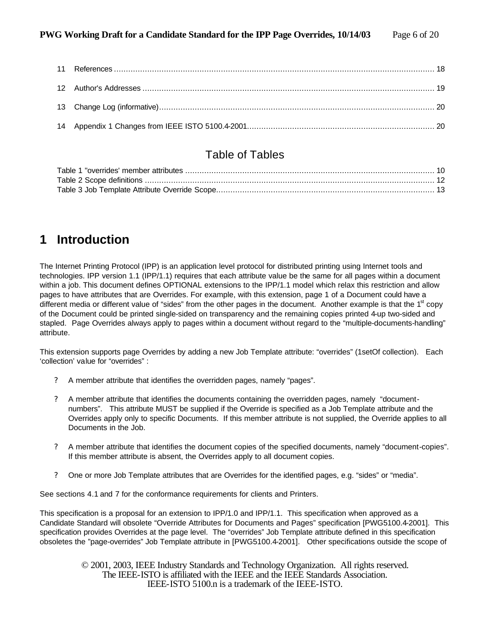### Table of Tables

# **1 Introduction**

The Internet Printing Protocol (IPP) is an application level protocol for distributed printing using Internet tools and technologies. IPP version 1.1 (IPP/1.1) requires that each attribute value be the same for all pages within a document within a job. This document defines OPTIONAL extensions to the IPP/1.1 model which relax this restriction and allow pages to have attributes that are Overrides. For example, with this extension, page 1 of a Document could have a different media or different value of "sides" from the other pages in the document. Another example is that the 1<sup>st</sup> copy of the Document could be printed single-sided on transparency and the remaining copies printed 4-up two-sided and stapled. Page Overrides always apply to pages within a document without regard to the "multiple-documents-handling" attribute.

This extension supports page Overrides by adding a new Job Template attribute: "overrides" (1setOf collection). Each 'collection' value for "overrides" :

- ? A member attribute that identifies the overridden pages, namely "pages".
- ? A member attribute that identifies the documents containing the overridden pages, namely "documentnumbers". This attribute MUST be supplied if the Override is specified as a Job Template attribute and the Overrides apply only to specific Documents. If this member attribute is not supplied, the Override applies to all Documents in the Job.
- ? A member attribute that identifies the document copies of the specified documents, namely "document-copies". If this member attribute is absent, the Overrides apply to all document copies.
- ? One or more Job Template attributes that are Overrides for the identified pages, e.g. "sides" or "media".

See sections 4.1 and 7 for the conformance requirements for clients and Printers.

This specification is a proposal for an extension to IPP/1.0 and IPP/1.1. This specification when approved as a Candidate Standard will obsolete "Override Attributes for Documents and Pages" specification [PWG5100.4-2001]. This specification provides Overrides at the page level. The "overrides" Job Template attribute defined in this specification obsoletes the "page-overrides" Job Template attribute in [PWG5100.4-2001]. Other specifications outside the scope of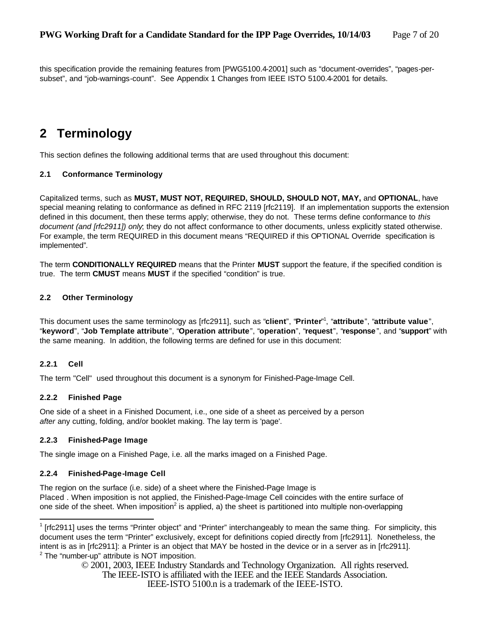this specification provide the remaining features from [PWG5100.4-2001] such as "document-overrides", "pages-persubset", and "job-warnings-count". See Appendix 1 Changes from IEEE ISTO 5100.4-2001 for details.

# **2 Terminology**

This section defines the following additional terms that are used throughout this document:

#### **2.1 Conformance Terminology**

Capitalized terms, such as **MUST, MUST NOT, REQUIRED, SHOULD, SHOULD NOT, MAY,** and **OPTIONAL**, have special meaning relating to conformance as defined in RFC 2119 [rfc2119]. If an implementation supports the extension defined in this document, then these terms apply; otherwise, they do not. These terms define conformance to *this document (and [rfc2911]) only*; they do not affect conformance to other documents, unless explicitly stated otherwise. For example, the term REQUIRED in this document means "REQUIRED if this OPTIONAL Override specification is implemented"*.*

The term **CONDITIONALLY REQUIRED** means that the Printer **MUST** support the feature, if the specified condition is true. The term **CMUST** means **MUST** if the specified "condition" is true.

#### **2.2 Other Terminology**

This document uses the same terminology as [rfc2911], such as "**client**", "**Printer**" 1 , "**attribute**", "**attribute value**", "**keyword**", "**Job Template attribute**", "**Operation attribute**", "**operation**", "**request**", "**response**", and "**support**" with the same meaning. In addition, the following terms are defined for use in this document:

#### **2.2.1 Cell**

The term "Cell" used throughout this document is a synonym for Finished-Page-Image Cell.

#### **2.2.2 Finished Page**

One side of a sheet in a Finished Document, i.e., one side of a sheet as perceived by a person *after* any cutting, folding, and/or booklet making. The lay term is 'page'.

#### **2.2.3 Finished-Page Image**

The single image on a Finished Page, i.e. all the marks imaged on a Finished Page.

#### **2.2.4 Finished-Page-Image Cell**

The region on the surface (i.e. side) of a sheet where the Finished-Page Image is Placed . When imposition is not applied, the Finished-Page-Image Cell coincides with the entire surface of one side of the sheet. When imposition<sup>2</sup> is applied, a) the sheet is partitioned into multiple non-overlapping

© 2001, 2003, IEEE Industry Standards and Technology Organization. All rights reserved. The IEEE-ISTO is affiliated with the IEEE and the IEEE Standards Association.

IEEE-ISTO 5100.n is a trademark of the IEEE-ISTO.

<sup>&</sup>lt;sup>1</sup> [rfc2911] uses the terms "Printer object" and "Printer" interchangeably to mean the same thing. For simplicity, this document uses the term "Printer" exclusively, except for definitions copied directly from [rfc2911]. Nonetheless, the intent is as in [rfc2911]: a Printer is an object that MAY be hosted in the device or in a server as in [rfc2911].  $2$  The "number-up" attribute is NOT imposition.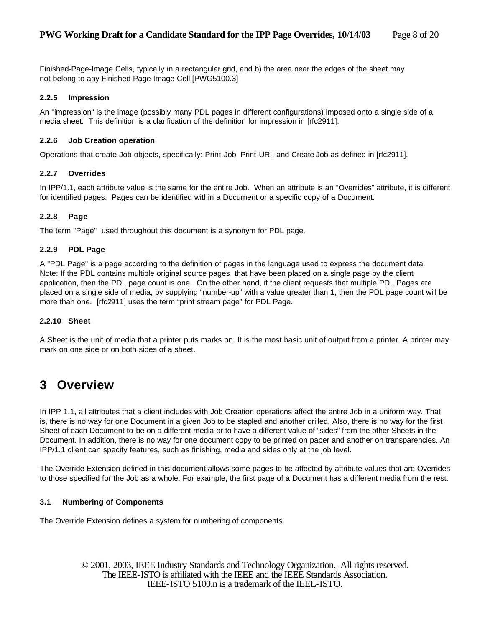Finished-Page-Image Cells, typically in a rectangular grid, and b) the area near the edges of the sheet may not belong to any Finished-Page-Image Cell.[PWG5100.3]

#### **2.2.5 Impression**

An "impression" is the image (possibly many PDL pages in different configurations) imposed onto a single side of a media sheet. This definition is a clarification of the definition for impression in [rfc2911].

#### **2.2.6 Job Creation operation**

Operations that create Job objects, specifically: Print-Job, Print-URI, and Create-Job as defined in [rfc2911].

#### **2.2.7 Overrides**

In IPP/1.1, each attribute value is the same for the entire Job. When an attribute is an "Overrides" attribute, it is different for identified pages. Pages can be identified within a Document or a specific copy of a Document.

#### **2.2.8 Page**

The term "Page" used throughout this document is a synonym for PDL page.

#### **2.2.9 PDL Page**

A "PDL Page" is a page according to the definition of pages in the language used to express the document data. Note: If the PDL contains multiple original source pages that have been placed on a single page by the client application, then the PDL page count is one. On the other hand, if the client requests that multiple PDL Pages are placed on a single side of media, by supplying "number-up" with a value greater than 1, then the PDL page count will be more than one. [rfc2911] uses the term "print stream page" for PDL Page.

#### **2.2.10 Sheet**

A Sheet is the unit of media that a printer puts marks on. It is the most basic unit of output from a printer. A printer may mark on one side or on both sides of a sheet.

### **3 Overview**

In IPP 1.1, all attributes that a client includes with Job Creation operations affect the entire Job in a uniform way. That is, there is no way for one Document in a given Job to be stapled and another drilled. Also, there is no way for the first Sheet of each Document to be on a different media or to have a different value of "sides" from the other Sheets in the Document. In addition, there is no way for one document copy to be printed on paper and another on transparencies. An IPP/1.1 client can specify features, such as finishing, media and sides only at the job level.

The Override Extension defined in this document allows some pages to be affected by attribute values that are Overrides to those specified for the Job as a whole. For example, the first page of a Document has a different media from the rest.

#### **3.1 Numbering of Components**

The Override Extension defines a system for numbering of components.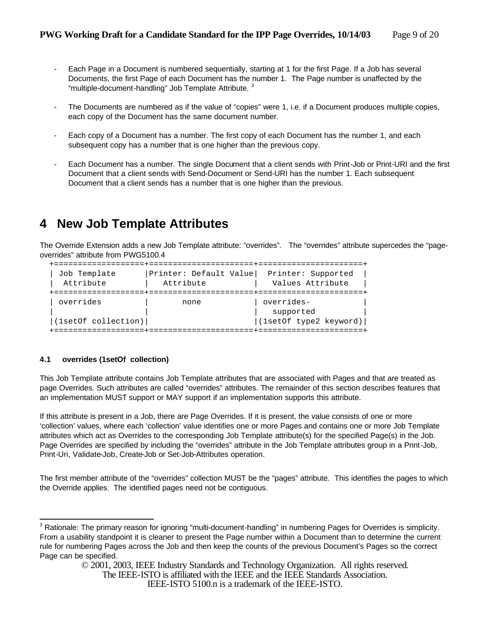- Each Page in a Document is numbered sequentially, starting at 1 for the first Page. If a Job has several Documents, the first Page of each Document has the number 1. The Page number is unaffected by the "multiple-document-handling" Job Template Attribute.<sup>3</sup>
- The Documents are numbered as if the value of "copies" were 1, i.e. if a Document produces multiple copies, each copy of the Document has the same document number.
- Each copy of a Document has a number. The first copy of each Document has the number 1, and each subsequent copy has a number that is one higher than the previous copy.
- Each Document has a number. The single Document that a client sends with Print-Job or Print-URI and the first Document that a client sends with Send-Document or Send-URI has the number 1. Each subsequent Document that a client sends has a number that is one higher than the previous.

## **4 New Job Template Attributes**

The Override Extension adds a new Job Template attribute: "overrides". The "overrides" attribute supercedes the "pageoverrides" attribute from PWG5100.4

| Job Template<br>Attribute | Printer: Default Value<br>Attribute | Printer: Supported<br>Values Attribute |
|---------------------------|-------------------------------------|----------------------------------------|
| overrides                 | none                                | overrides-<br>supported                |
| (1setOf collection)       |                                     | (lsetOf type2 keyword)                 |

#### **4.1 overrides (1setOf collection)**

This Job Template attribute contains Job Template attributes that are associated with Pages and that are treated as page Overrides. Such attributes are called "overrides" attributes. The remainder of this section describes features that an implementation MUST support or MAY support if an implementation supports this attribute.

If this attribute is present in a Job, there are Page Overrides. If it is present, the value consists of one or more 'collection' values, where each 'collection' value identifies one or more Pages and contains one or more Job Template attributes which act as Overrides to the corresponding Job Template attribute(s) for the specified Page(s) in the Job. Page Overrides are specified by including the "overrides" attribute in the Job Template attributes group in a Print-Job, Print-Uri, Validate-Job, Create-Job or Set-Job-Attributes operation.

The first member attribute of the "overrides" collection MUST be the "pages" attribute. This identifies the pages to which the Override applies. The identified pages need not be contiguous.

<sup>&</sup>lt;sup>3</sup> Rationale: The primary reason for ignoring "multi-document-handling" in numbering Pages for Overrides is simplicity. From a usability standpoint it is cleaner to present the Page number within a Document than to determine the current rule for numbering Pages across the Job and then keep the counts of the previous Document's Pages so the correct Page can be specified.

<sup>© 2001, 2003,</sup> IEEE Industry Standards and Technology Organization. All rights reserved.

The IEEE-ISTO is affiliated with the IEEE and the IEEE Standards Association.

IEEE-ISTO 5100.n is a trademark of the IEEE-ISTO.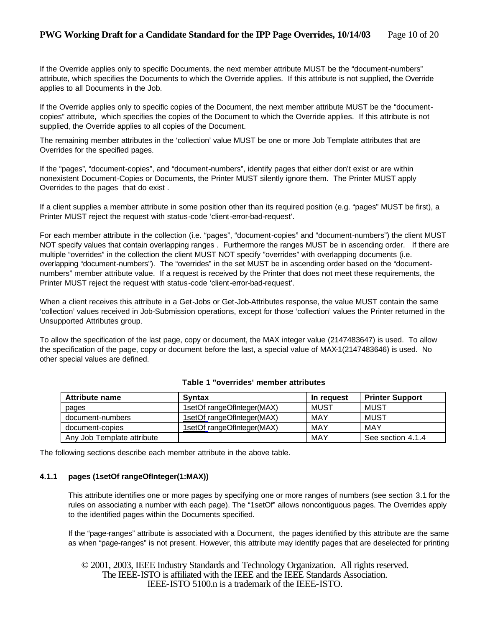If the Override applies only to specific Documents, the next member attribute MUST be the "document-numbers" attribute, which specifies the Documents to which the Override applies. If this attribute is not supplied, the Override applies to all Documents in the Job.

If the Override applies only to specific copies of the Document, the next member attribute MUST be the "documentcopies" attribute, which specifies the copies of the Document to which the Override applies. If this attribute is not supplied, the Override applies to all copies of the Document.

The remaining member attributes in the 'collection' value MUST be one or more Job Template attributes that are Overrides for the specified pages.

If the "pages", "document-copies", and "document-numbers", identify pages that either don't exist or are within nonexistent Document-Copies or Documents, the Printer MUST silently ignore them. The Printer MUST apply Overrides to the pages that do exist .

If a client supplies a member attribute in some position other than its required position (e.g. "pages" MUST be first), a Printer MUST reject the request with status-code 'client-error-bad-request'.

For each member attribute in the collection (i.e. "pages", "document-copies" and "document-numbers") the client MUST NOT specify values that contain overlapping ranges . Furthermore the ranges MUST be in ascending order. If there are multiple "overrides" in the collection the client MUST NOT specify "overrides" with overlapping documents (i.e. overlapping "document-numbers"). The "overrides" in the set MUST be in ascending order based on the "documentnumbers" member attribute value. If a request is received by the Printer that does not meet these requirements, the Printer MUST reject the request with status-code 'client-error-bad-request'.

When a client receives this attribute in a Get-Jobs or Get-Job-Attributes response, the value MUST contain the same 'collection' values received in Job-Submission operations, except for those 'collection' values the Printer returned in the Unsupported Attributes group.

To allow the specification of the last page, copy or document, the MAX integer value (2147483647) is used. To allow the specification of the page, copy or document before the last, a special value of MAX-1(2147483646) is used. No other special values are defined.

| <b>Attribute name</b>      | <b>Syntax</b>              | In request | <b>Printer Support</b> |
|----------------------------|----------------------------|------------|------------------------|
| pages                      | 1setOf rangeOfInteger(MAX) | MUST       | MUST                   |
| document-numbers           | 1setOf rangeOfInteger(MAX) | MAY        | MUST                   |
| document-copies            | 1setOf rangeOfInteger(MAX) | MAY        | MAY                    |
| Any Job Template attribute |                            | MAY        | See section 4.1.4      |

#### **Table 1 "overrides' member attributes**

The following sections describe each member attribute in the above table.

#### **4.1.1 pages (1setOf rangeOfInteger(1:MAX))**

This attribute identifies one or more pages by specifying one or more ranges of numbers (see section 3.1 for the rules on associating a number with each page). The "1setOf" allows noncontiguous pages. The Overrides apply to the identified pages within the Documents specified.

If the "page-ranges" attribute is associated with a Document, the pages identified by this attribute are the same as when "page-ranges" is not present. However, this attribute may identify pages that are deselected for printing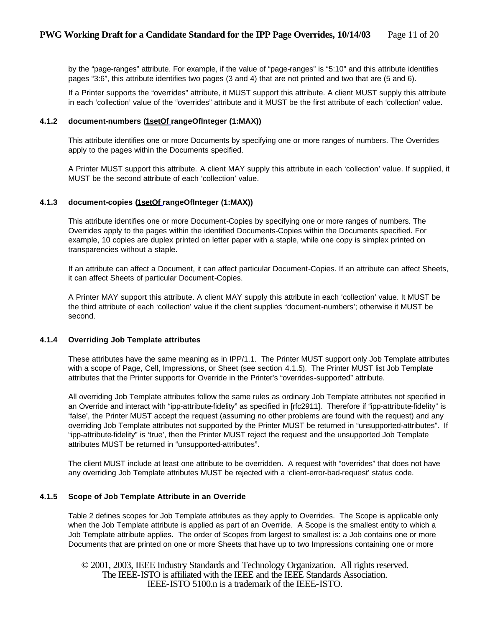by the "page-ranges" attribute. For example, if the value of "page-ranges" is "5:10" and this attribute identifies pages "3:6", this attribute identifies two pages (3 and 4) that are not printed and two that are (5 and 6).

If a Printer supports the "overrides" attribute, it MUST support this attribute. A client MUST supply this attribute in each 'collection' value of the "overrides" attribute and it MUST be the first attribute of each 'collection' value.

#### **4.1.2 document-numbers (1setOf rangeOfInteger (1:MAX))**

This attribute identifies one or more Documents by specifying one or more ranges of numbers. The Overrides apply to the pages within the Documents specified.

A Printer MUST support this attribute. A client MAY supply this attribute in each 'collection' value. If supplied, it MUST be the second attribute of each 'collection' value.

#### **4.1.3 document-copies (1setOf rangeOfInteger (1:MAX))**

This attribute identifies one or more Document-Copies by specifying one or more ranges of numbers. The Overrides apply to the pages within the identified Documents-Copies within the Documents specified. For example, 10 copies are duplex printed on letter paper with a staple, while one copy is simplex printed on transparencies without a staple.

If an attribute can affect a Document, it can affect particular Document-Copies. If an attribute can affect Sheets, it can affect Sheets of particular Document-Copies.

A Printer MAY support this attribute. A client MAY supply this attribute in each 'collection' value. It MUST be the third attribute of each 'collection' value if the client supplies "document-numbers'; otherwise it MUST be second.

#### **4.1.4 Overriding Job Template attributes**

These attributes have the same meaning as in IPP/1.1. The Printer MUST support only Job Template attributes with a scope of Page, Cell, Impressions, or Sheet (see section 4.1.5). The Printer MUST list Job Template attributes that the Printer supports for Override in the Printer's "overrides-supported" attribute.

All overriding Job Template attributes follow the same rules as ordinary Job Template attributes not specified in an Override and interact with "ipp-attribute-fidelity" as specified in [rfc2911]. Therefore if "ipp-attribute-fidelity" is 'false', the Printer MUST accept the request (assuming no other problems are found with the request) and any overriding Job Template attributes not supported by the Printer MUST be returned in "unsupported-attributes". If "ipp-attribute-fidelity" is 'true', then the Printer MUST reject the request and the unsupported Job Template attributes MUST be returned in "unsupported-attributes".

The client MUST include at least one attribute to be overridden. A request with "overrides" that does not have any overriding Job Template attributes MUST be rejected with a 'client-error-bad-request' status code.

#### **4.1.5 Scope of Job Template Attribute in an Override**

Table 2 defines scopes for Job Template attributes as they apply to Overrides. The Scope is applicable only when the Job Template attribute is applied as part of an Override. A Scope is the smallest entity to which a Job Template attribute applies. The order of Scopes from largest to smallest is: a Job contains one or more Documents that are printed on one or more Sheets that have up to two Impressions containing one or more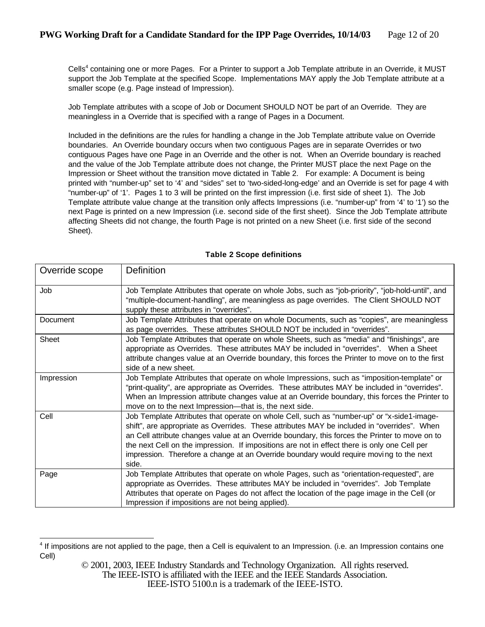Cells<sup>4</sup> containing one or more Pages. For a Printer to support a Job Template attribute in an Override, it MUST support the Job Template at the specified Scope. Implementations MAY apply the Job Template attribute at a smaller scope (e.g. Page instead of Impression).

Job Template attributes with a scope of Job or Document SHOULD NOT be part of an Override. They are meaningless in a Override that is specified with a range of Pages in a Document.

Included in the definitions are the rules for handling a change in the Job Template attribute value on Override boundaries. An Override boundary occurs when two contiguous Pages are in separate Overrides or two contiguous Pages have one Page in an Override and the other is not. When an Override boundary is reached and the value of the Job Template attribute does not change, the Printer MUST place the next Page on the Impression or Sheet without the transition move dictated in Table 2. For example: A Document is being printed with "number-up" set to '4' and "sides" set to 'two-sided-long-edge' and an Override is set for page 4 with "number-up" of '1'. Pages 1 to 3 will be printed on the first impression (i.e. first side of sheet 1). The Job Template attribute value change at the transition only affects Impressions (i.e. "number-up" from '4' to '1') so the next Page is printed on a new Impression (i.e. second side of the first sheet). Since the Job Template attribute affecting Sheets did not change, the fourth Page is not printed on a new Sheet (i.e. first side of the second Sheet).

| Override scope | Definition                                                                                                                                                                                                                                                                                                                                                                                                                                                                                      |
|----------------|-------------------------------------------------------------------------------------------------------------------------------------------------------------------------------------------------------------------------------------------------------------------------------------------------------------------------------------------------------------------------------------------------------------------------------------------------------------------------------------------------|
| Job            | Job Template Attributes that operate on whole Jobs, such as "job-priority", "job-hold-until", and<br>"multiple-document-handling", are meaningless as page overrides. The Client SHOULD NOT<br>supply these attributes in "overrides".                                                                                                                                                                                                                                                          |
| Document       | Job Template Attributes that operate on whole Documents, such as "copies", are meaningless<br>as page overrides. These attributes SHOULD NOT be included in "overrides".                                                                                                                                                                                                                                                                                                                        |
| Sheet          | Job Template Attributes that operate on whole Sheets, such as "media" and "finishings", are<br>appropriate as Overrides. These attributes MAY be included in "overrides". When a Sheet<br>attribute changes value at an Override boundary, this forces the Printer to move on to the first<br>side of a new sheet.                                                                                                                                                                              |
| Impression     | Job Template Attributes that operate on whole Impressions, such as "imposition-template" or<br>"print-quality", are appropriate as Overrides. These attributes MAY be included in "overrides".<br>When an Impression attribute changes value at an Override boundary, this forces the Printer to<br>move on to the next Impression—that is, the next side.                                                                                                                                      |
| Cell           | Job Template Attributes that operate on whole Cell, such as "number-up" or "x-side1-image-<br>shift", are appropriate as Overrides. These attributes MAY be included in "overrides". When<br>an Cell attribute changes value at an Override boundary, this forces the Printer to move on to<br>the next Cell on the impression. If impositions are not in effect there is only one Cell per<br>impression. Therefore a change at an Override boundary would require moving to the next<br>side. |
| Page           | Job Template Attributes that operate on whole Pages, such as "orientation-requested", are<br>appropriate as Overrides. These attributes MAY be included in "overrides". Job Template<br>Attributes that operate on Pages do not affect the location of the page image in the Cell (or<br>Impression if impositions are not being applied).                                                                                                                                                      |

#### **Table 2 Scope definitions**

IEEE-ISTO 5100.n is a trademark of the IEEE-ISTO.

<sup>&</sup>lt;sup>4</sup> If impositions are not applied to the page, then a Cell is equivalent to an Impression. (i.e. an Impression contains one Cell)

<sup>© 2001, 2003,</sup> IEEE Industry Standards and Technology Organization. All rights reserved.

The IEEE-ISTO is affiliated with the IEEE and the IEEE Standards Association.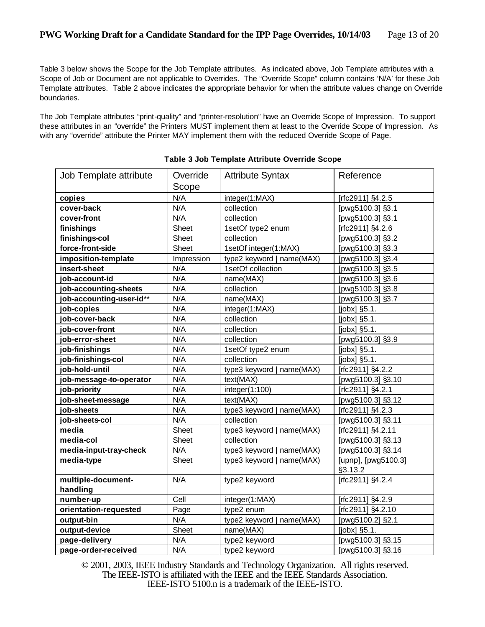Table 3 below shows the Scope for the Job Template attributes. As indicated above, Job Template attributes with a Scope of Job or Document are not applicable to Overrides. The "Override Scope" column contains 'N/A' for these Job Template attributes. Table 2 above indicates the appropriate behavior for when the attribute values change on Override boundaries.

The Job Template attributes "print-quality" and "printer-resolution" have an Override Scope of Impression. To support these attributes in an "override" the Printers MUST implement them at least to the Override Scope of Impression. As with any "override" attribute the Printer MAY implement them with the reduced Override Scope of Page.

| Job Template attribute         | Override<br><b>Attribute Syntax</b> |                              | Reference                      |  |
|--------------------------------|-------------------------------------|------------------------------|--------------------------------|--|
|                                | Scope                               |                              |                                |  |
| copies                         | N/A<br>integer(1:MAX)               |                              | [rfc2911] §4.2.5               |  |
| cover-back                     | N/A                                 | collection                   | [pwg5100.3] §3.1               |  |
| cover-front                    | N/A                                 | collection                   | [pwg5100.3] §3.1               |  |
| finishings                     | Sheet                               | 1setOf type2 enum            | [rfc2911] §4.2.6               |  |
| finishings-col                 | Sheet                               | collection                   | [pwg5100.3] §3.2               |  |
| force-front-side               | Sheet                               | 1setOf integer(1:MAX)        | [pwg5100.3] §3.3               |  |
| imposition-template            | Impression                          | type2 keyword   name(MAX)    | [pwg5100.3] §3.4               |  |
| insert-sheet                   | N/A                                 | 1setOf collection            | [pwg5100.3] §3.5               |  |
| job-account-id                 | N/A                                 | name(MAX)                    | [pwg5100.3] §3.6               |  |
| job-accounting-sheets          | N/A                                 | collection                   | [pwg5100.3] §3.8               |  |
| job-accounting-user-id**       | N/A                                 | name(MAX)                    | [pwg5100.3] §3.7               |  |
| job-copies                     | N/A                                 | integer(1:MAX)               | [jobx] §5.1.                   |  |
| job-cover-back                 | N/A                                 | collection                   | [jobx] §5.1.                   |  |
| job-cover-front                | N/A                                 | collection                   | $[jobx]$ §5.1.                 |  |
| job-error-sheet                | N/A                                 | collection                   | [pwg5100.3] §3.9               |  |
| job-finishings                 | N/A                                 | 1setOf type2 enum            | $[jobx]$ §5.1.                 |  |
| job-finishings-col             | N/A                                 | collection                   | $[jobx]$ §5.1.                 |  |
| job-hold-until                 | N/A                                 | type3 keyword   name(MAX)    | [rfc2911] §4.2.2               |  |
| job-message-to-operator        | N/A                                 | text(MAX)                    | [pwg5100.3] §3.10              |  |
| job-priority                   | N/A                                 | integer(1:100)               | [rfc2911] §4.2.1               |  |
| job-sheet-message              | N/A                                 | text(MAX)                    | [pwg5100.3] §3.12              |  |
| job-sheets                     | N/A                                 | type3 keyword   name(MAX)    | [rfc2911] §4.2.3               |  |
| job-sheets-col                 | N/A                                 | collection                   | [pwg5100.3] §3.11              |  |
| media                          | Sheet                               | type3 keyword   name(MAX)    | [rfc2911] §4.2.11              |  |
| media-col                      | Sheet                               | collection                   | [pwg5100.3] §3.13              |  |
| media-input-tray-check         | N/A                                 | type3 keyword   name(MAX)    | [pwg5100.3] §3.14              |  |
| media-type                     | Sheet                               | type3 keyword   name(MAX)    | [upnp], [pwg5100.3]<br>§3.13.2 |  |
| multiple-document-<br>handling | N/A                                 | type2 keyword                | [rfc2911] §4.2.4               |  |
| number-up                      | Cell                                | integer(1:MAX)               | [rfc2911] §4.2.9               |  |
| orientation-requested          | Page                                | type2 enum                   | [rfc2911] §4.2.10              |  |
| output-bin                     | N/A                                 | type2 keyword  <br>name(MAX) | [pwg5100.2] §2.1               |  |
| output-device                  | Sheet                               | name(MAX)                    | [jobx] §5.1.                   |  |
| page-delivery                  | N/A                                 | type2 keyword                | [pwg5100.3] §3.15              |  |
| page-order-received            | N/A                                 | type2 keyword                | [pwg5100.3] §3.16              |  |

| Table 3 Job Template Attribute Override Scope |  |  |
|-----------------------------------------------|--|--|
|                                               |  |  |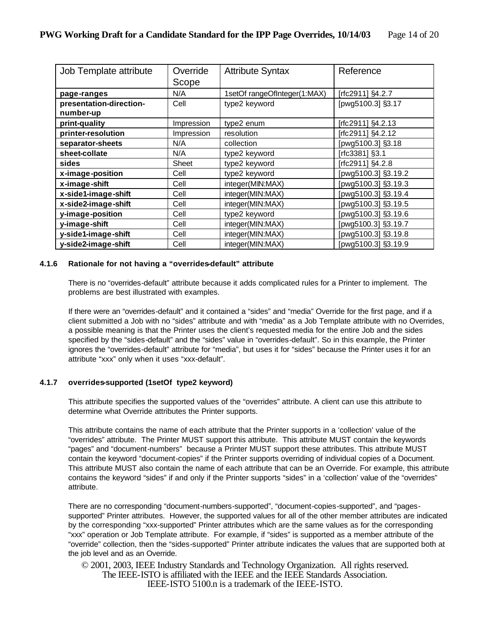| Job Template attribute               | Override<br>Scope | <b>Attribute Syntax</b>      | Reference           |
|--------------------------------------|-------------------|------------------------------|---------------------|
| page-ranges                          | N/A               | 1setOf rangeOfInteger(1:MAX) | [rfc2911] §4.2.7    |
| presentation-direction-<br>number-up | Cell              | type2 keyword                | [pwg5100.3] §3.17   |
| print-quality                        | Impression        | type2 enum                   | [rfc2911] §4.2.13   |
| printer-resolution                   | Impression        | resolution                   | [rfc2911] §4.2.12   |
| separator-sheets                     | N/A               | collection                   | [pwg5100.3] §3.18   |
| sheet-collate                        | N/A               | type2 keyword                | [rfc3381] §3.1      |
| sides                                | Sheet             | type2 keyword                | [rfc2911] §4.2.8    |
| x-image-position                     | Cell              | type2 keyword                | [pwg5100.3] §3.19.2 |
| x-image-shift                        | Cell              | integer(MIN:MAX)             | [pwg5100.3] §3.19.3 |
| x-side1-image-shift                  | Cell              | integer(MIN:MAX)             | [pwg5100.3] §3.19.4 |
| x-side2-image-shift                  | Cell              | integer(MIN:MAX)             | [pwg5100.3] §3.19.5 |
| y-image-position                     | Cell              | type2 keyword                | [pwg5100.3] §3.19.6 |
| y-image-shift                        | Cell              | integer(MIN:MAX)             | [pwg5100.3] §3.19.7 |
| y-side1-image-shift                  | Cell              | integer(MIN:MAX)             | [pwg5100.3] §3.19.8 |
| y-side2-image-shift                  | Cell              | integer(MIN:MAX)             | [pwg5100.3] §3.19.9 |

#### **4.1.6 Rationale for not having a "overrides-default" attribute**

There is no "overrides-default" attribute because it adds complicated rules for a Printer to implement. The problems are best illustrated with examples.

If there were an "overrides-default" and it contained a "sides" and "media" Override for the first page, and if a client submitted a Job with no "sides" attribute and with "media" as a Job Template attribute with no Overrides, a possible meaning is that the Printer uses the client's requested media for the entire Job and the sides specified by the "sides-default" and the "sides" value in "overrides-default". So in this example, the Printer ignores the "overrides-default" attribute for "media", but uses it for "sides" because the Printer uses it for an attribute "xxx" only when it uses "xxx-default".

#### **4.1.7 overrides-supported (1setOf type2 keyword)**

This attribute specifies the supported values of the "overrides" attribute. A client can use this attribute to determine what Override attributes the Printer supports.

This attribute contains the name of each attribute that the Printer supports in a 'collection' value of the "overrides" attribute. The Printer MUST support this attribute. This attribute MUST contain the keywords "pages" and "document-numbers" because a Printer MUST support these attributes. This attribute MUST contain the keyword "document-copies" if the Printer supports overriding of individual copies of a Document. This attribute MUST also contain the name of each attribute that can be an Override. For example, this attribute contains the keyword "sides" if and only if the Printer supports "sides" in a 'collection' value of the "overrides" attribute.

There are no corresponding "document-numbers-supported", "document-copies-supported", and "pagessupported" Printer attributes. However, the supported values for all of the other member attributes are indicated by the corresponding "xxx-supported" Printer attributes which are the same values as for the corresponding "xxx" operation or Job Template attribute. For example, if "sides" is supported as a member attribute of the "override" collection, then the "sides-supported" Printer attribute indicates the values that are supported both at the job level and as an Override.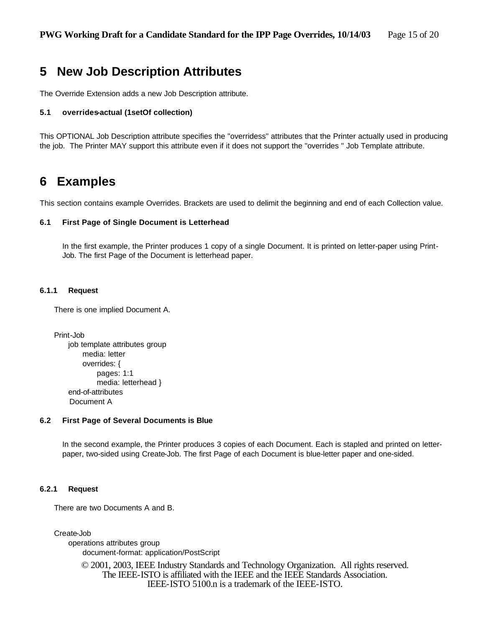## **5 New Job Description Attributes**

The Override Extension adds a new Job Description attribute.

#### **5.1 overrides-actual (1setOf collection)**

This OPTIONAL Job Description attribute specifies the "overridess" attributes that the Printer actually used in producing the job. The Printer MAY support this attribute even if it does not support the "overrides " Job Template attribute.

### **6 Examples**

This section contains example Overrides. Brackets are used to delimit the beginning and end of each Collection value.

#### **6.1 First Page of Single Document is Letterhead**

In the first example, the Printer produces 1 copy of a single Document. It is printed on letter-paper using Print-Job. The first Page of the Document is letterhead paper.

#### **6.1.1 Request**

There is one implied Document A.

Print-Job job template attributes group media: letter overrides: { pages: 1:1 media: letterhead } end-of-attributes Document A

#### **6.2 First Page of Several Documents is Blue**

In the second example, the Printer produces 3 copies of each Document. Each is stapled and printed on letterpaper, two-sided using Create-Job. The first Page of each Document is blue-letter paper and one-sided.

#### **6.2.1 Request**

There are two Documents A and B.

Create-Job

operations attributes group document-format: application/PostScript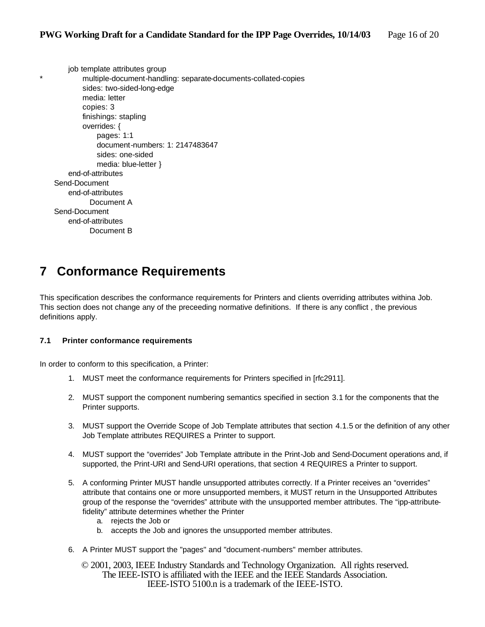job template attributes group multiple-document-handling: separate-documents-collated-copies sides: two-sided-long-edge media: letter copies: 3 finishings: stapling overrides: { pages: 1:1 document-numbers: 1: 2147483647 sides: one-sided media: blue-letter } end-of-attributes Send-Document end-of-attributes Document A Send-Document end-of-attributes Document B

# **7 Conformance Requirements**

This specification describes the conformance requirements for Printers and clients overriding attributes withina Job. This section does not change any of the preceeding normative definitions. If there is any conflict , the previous definitions apply.

#### **7.1 Printer conformance requirements**

In order to conform to this specification, a Printer:

- 1. MUST meet the conformance requirements for Printers specified in [rfc2911].
- 2. MUST support the component numbering semantics specified in section 3.1 for the components that the Printer supports.
- 3. MUST support the Override Scope of Job Template attributes that section 4.1.5 or the definition of any other Job Template attributes REQUIRES a Printer to support.
- 4. MUST support the "overrides" Job Template attribute in the Print-Job and Send-Document operations and, if supported, the Print-URI and Send-URI operations, that section 4 REQUIRES a Printer to support.
- 5. A conforming Printer MUST handle unsupported attributes correctly. If a Printer receives an "overrides" attribute that contains one or more unsupported members, it MUST return in the Unsupported Attributes group of the response the "overrides" attribute with the unsupported member attributes. The "ipp-attributefidelity" attribute determines whether the Printer
	- a. rejects the Job or
	- b. accepts the Job and ignores the unsupported member attributes.
- 6. A Printer MUST support the "pages" and "document-numbers" member attributes.
	- © 2001, 2003, IEEE Industry Standards and Technology Organization. All rights reserved. The IEEE-ISTO is affiliated with the IEEE and the IEEE Standards Association. IEEE-ISTO 5100.n is a trademark of the IEEE-ISTO.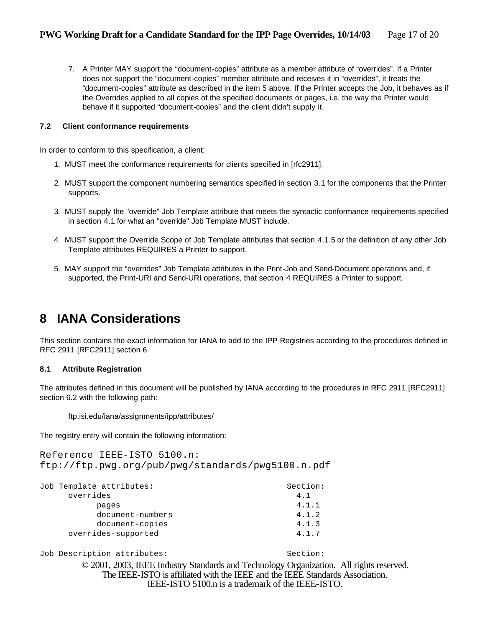7. A Printer MAY support the "document-copies" attribute as a member attribute of "overrides". If a Printer does not support the "document-copies" member attribute and receives it in "overrides", it treats the "document-copies" attribute as described in the item 5 above. If the Printer accepts the Job, it behaves as if the Overrides applied to all copies of the specified documents or pages, i.e. the way the Printer would behave if it supported "document-copies" and the client didn't supply it.

#### **7.2 Client conformance requirements**

In order to conform to this specification, a client:

- 1. MUST meet the conformance requirements for clients specified in [rfc2911].
- 2. MUST support the component numbering semantics specified in section 3.1 for the components that the Printer supports.
- 3. MUST supply the "override" Job Template attribute that meets the syntactic conformance requirements specified in section 4.1 for what an "override" Job Template MUST include.
- 4. MUST support the Override Scope of Job Template attributes that section 4.1.5 or the definition of any other Job Template attributes REQUIRES a Printer to support.
- 5. MAY support the "overrides" Job Template attributes in the Print-Job and Send-Document operations and, if supported, the Print-URI and Send-URI operations, that section 4 REQUIRES a Printer to support.

## **8 IANA Considerations**

This section contains the exact information for IANA to add to the IPP Registries according to the procedures defined in RFC 2911 [RFC2911] section 6.

#### **8.1 Attribute Registration**

The attributes defined in this document will be published by IANA according to the procedures in RFC 2911 [RFC2911] section 6.2 with the following path:

ftp.isi.edu/iana/assignments/ipp/attributes/

The registry entry will contain the following information:

Reference IEEE-ISTO 5100.n: ftp://ftp.pwg.org/pub/pwg/standards/pwg5100.n.pdf

| Section: |
|----------|
| 4.1      |
| 4.1.1    |
| 4.1.2    |
| 4.1.3    |
| 4.1.7    |
|          |

Job Description attributes:  $\qquad \qquad$  Section: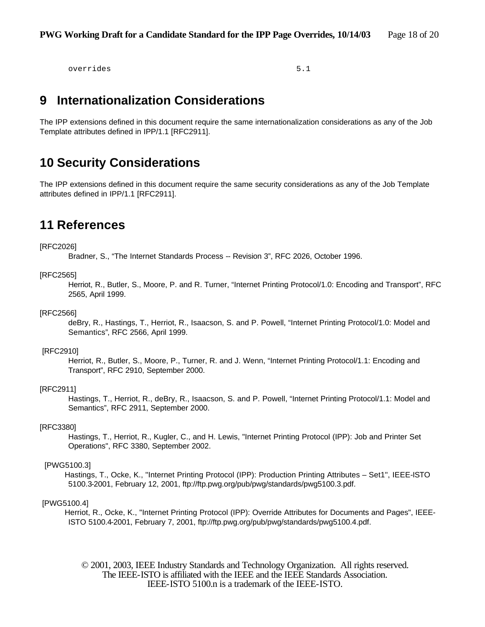overrides 5.1

### **9 Internationalization Considerations**

The IPP extensions defined in this document require the same internationalization considerations as any of the Job Template attributes defined in IPP/1.1 [RFC2911].

### **10 Security Considerations**

The IPP extensions defined in this document require the same security considerations as any of the Job Template attributes defined in IPP/1.1 [RFC2911].

### **11 References**

#### [RFC2026]

Bradner, S., "The Internet Standards Process -- Revision 3", RFC 2026, October 1996.

#### [RFC2565]

Herriot, R., Butler, S., Moore, P. and R. Turner, "Internet Printing Protocol/1.0: Encoding and Transport", RFC 2565, April 1999.

#### [RFC2566]

deBry, R., Hastings, T., Herriot, R., Isaacson, S. and P. Powell, "Internet Printing Protocol/1.0: Model and Semantics", RFC 2566, April 1999.

#### [RFC2910]

Herriot, R., Butler, S., Moore, P., Turner, R. and J. Wenn, "Internet Printing Protocol/1.1: Encoding and Transport", RFC 2910, September 2000.

#### [RFC2911]

Hastings, T., Herriot, R., deBry, R., Isaacson, S. and P. Powell, "Internet Printing Protocol/1.1: Model and Semantics", RFC 2911, September 2000.

#### [RFC3380]

Hastings, T., Herriot, R., Kugler, C., and H. Lewis, "Internet Printing Protocol (IPP): Job and Printer Set Operations", RFC 3380, September 2002.

#### [PWG5100.3]

Hastings, T., Ocke, K., "Internet Printing Protocol (IPP): Production Printing Attributes – Set1", IEEE-ISTO 5100.3-2001, February 12, 2001, ftp://ftp.pwg.org/pub/pwg/standards/pwg5100.3.pdf.

#### [PWG5100.4]

Herriot, R., Ocke, K., "Internet Printing Protocol (IPP): Override Attributes for Documents and Pages", IEEE-ISTO 5100.4-2001, February 7, 2001, ftp://ftp.pwg.org/pub/pwg/standards/pwg5100.4.pdf.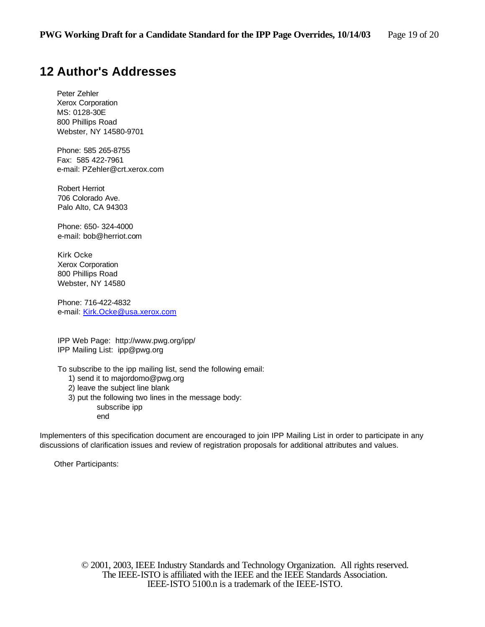# **12 Author's Addresses**

Peter Zehler Xerox Corporation MS: 0128-30E 800 Phillips Road Webster, NY 14580-9701

Phone: 585 265-8755 Fax: 585 422-7961 e-mail: PZehler@crt.xerox.com

Robert Herriot 706 Colorado Ave. Palo Alto, CA 94303

Phone: 650- 324-4000 e-mail: bob@herriot.com

Kirk Ocke Xerox Corporation 800 Phillips Road Webster, NY 14580

Phone: 716-422-4832 e-mail: Kirk.Ocke@usa.xerox.com

IPP Web Page: http://www.pwg.org/ipp/ IPP Mailing List: ipp@pwg.org

To subscribe to the ipp mailing list, send the following email:

- 1) send it to majordomo@pwg.org
- 2) leave the subject line blank
- 3) put the following two lines in the message body: subscribe ipp end

Implementers of this specification document are encouraged to join IPP Mailing List in order to participate in any discussions of clarification issues and review of registration proposals for additional attributes and values.

Other Participants: